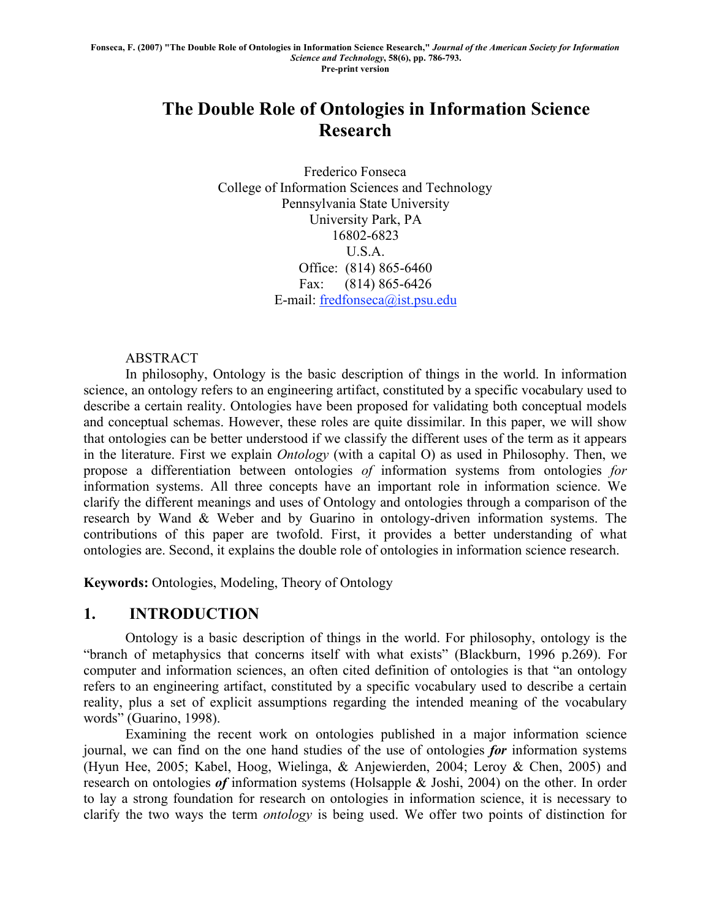# **The Double Role of Ontologies in Information Science Research**

Frederico Fonseca College of Information Sciences and Technology Pennsylvania State University University Park, PA 16802-6823  $U.S.A$ Office: (814) 865-6460 Fax: (814) 865-6426 E-mail: fredfonseca@ist.psu.edu

### ABSTRACT

In philosophy, Ontology is the basic description of things in the world. In information science, an ontology refers to an engineering artifact, constituted by a specific vocabulary used to describe a certain reality. Ontologies have been proposed for validating both conceptual models and conceptual schemas. However, these roles are quite dissimilar. In this paper, we will show that ontologies can be better understood if we classify the different uses of the term as it appears in the literature. First we explain *Ontology* (with a capital O) as used in Philosophy. Then, we propose a differentiation between ontologies *of* information systems from ontologies *for* information systems. All three concepts have an important role in information science. We clarify the different meanings and uses of Ontology and ontologies through a comparison of the research by Wand & Weber and by Guarino in ontology-driven information systems. The contributions of this paper are twofold. First, it provides a better understanding of what ontologies are. Second, it explains the double role of ontologies in information science research.

**Keywords:** Ontologies, Modeling, Theory of Ontology

### **1. INTRODUCTION**

Ontology is a basic description of things in the world. For philosophy, ontology is the "branch of metaphysics that concerns itself with what exists" (Blackburn, 1996 p.269). For computer and information sciences, an often cited definition of ontologies is that "an ontology refers to an engineering artifact, constituted by a specific vocabulary used to describe a certain reality, plus a set of explicit assumptions regarding the intended meaning of the vocabulary words" (Guarino, 1998).

Examining the recent work on ontologies published in a major information science journal, we can find on the one hand studies of the use of ontologies *for* information systems (Hyun Hee, 2005; Kabel, Hoog, Wielinga, & Anjewierden, 2004; Leroy & Chen, 2005) and research on ontologies *of* information systems (Holsapple & Joshi, 2004) on the other. In order to lay a strong foundation for research on ontologies in information science, it is necessary to clarify the two ways the term *ontology* is being used. We offer two points of distinction for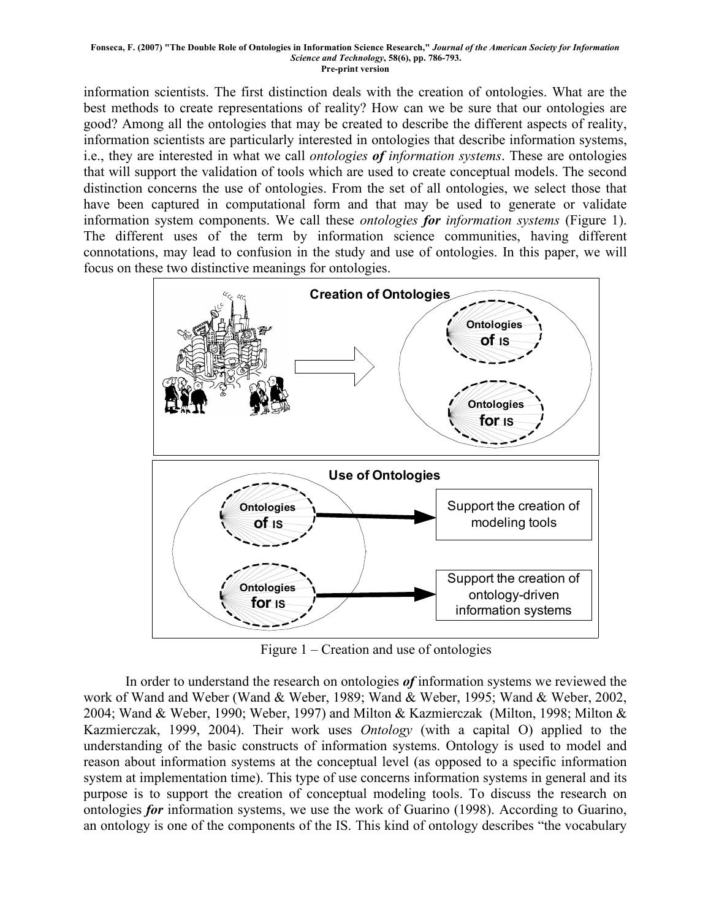information scientists. The first distinction deals with the creation of ontologies. What are the best methods to create representations of reality? How can we be sure that our ontologies are good? Among all the ontologies that may be created to describe the different aspects of reality, information scientists are particularly interested in ontologies that describe information systems, i.e., they are interested in what we call *ontologies of information systems*. These are ontologies that will support the validation of tools which are used to create conceptual models. The second distinction concerns the use of ontologies. From the set of all ontologies, we select those that have been captured in computational form and that may be used to generate or validate information system components. We call these *ontologies for information systems* (Figure 1). The different uses of the term by information science communities, having different connotations, may lead to confusion in the study and use of ontologies. In this paper, we will focus on these two distinctive meanings for ontologies.



Figure 1 – Creation and use of ontologies

In order to understand the research on ontologies *of* information systems we reviewed the work of Wand and Weber (Wand & Weber, 1989; Wand & Weber, 1995; Wand & Weber, 2002, 2004; Wand & Weber, 1990; Weber, 1997) and Milton & Kazmierczak (Milton, 1998; Milton & Kazmierczak, 1999, 2004). Their work uses *Ontology* (with a capital O) applied to the understanding of the basic constructs of information systems. Ontology is used to model and reason about information systems at the conceptual level (as opposed to a specific information system at implementation time). This type of use concerns information systems in general and its purpose is to support the creation of conceptual modeling tools. To discuss the research on ontologies *for* information systems, we use the work of Guarino (1998). According to Guarino, an ontology is one of the components of the IS. This kind of ontology describes "the vocabulary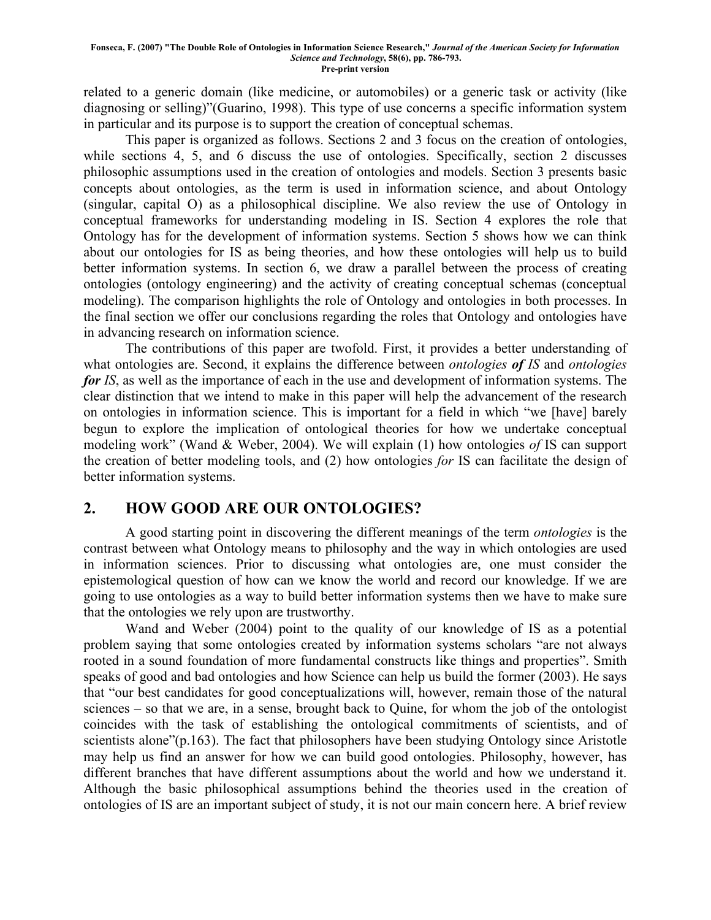related to a generic domain (like medicine, or automobiles) or a generic task or activity (like diagnosing or selling)"(Guarino, 1998). This type of use concerns a specific information system in particular and its purpose is to support the creation of conceptual schemas.

This paper is organized as follows. Sections 2 and 3 focus on the creation of ontologies, while sections 4, 5, and 6 discuss the use of ontologies. Specifically, section 2 discusses philosophic assumptions used in the creation of ontologies and models. Section 3 presents basic concepts about ontologies, as the term is used in information science, and about Ontology (singular, capital O) as a philosophical discipline. We also review the use of Ontology in conceptual frameworks for understanding modeling in IS. Section 4 explores the role that Ontology has for the development of information systems. Section 5 shows how we can think about our ontologies for IS as being theories, and how these ontologies will help us to build better information systems. In section 6, we draw a parallel between the process of creating ontologies (ontology engineering) and the activity of creating conceptual schemas (conceptual modeling). The comparison highlights the role of Ontology and ontologies in both processes. In the final section we offer our conclusions regarding the roles that Ontology and ontologies have in advancing research on information science.

The contributions of this paper are twofold. First, it provides a better understanding of what ontologies are. Second, it explains the difference between *ontologies of IS* and *ontologies for IS*, as well as the importance of each in the use and development of information systems. The clear distinction that we intend to make in this paper will help the advancement of the research on ontologies in information science. This is important for a field in which "we [have] barely begun to explore the implication of ontological theories for how we undertake conceptual modeling work" (Wand & Weber, 2004). We will explain (1) how ontologies *of* IS can support the creation of better modeling tools, and (2) how ontologies *for* IS can facilitate the design of better information systems.

### **2. HOW GOOD ARE OUR ONTOLOGIES?**

A good starting point in discovering the different meanings of the term *ontologies* is the contrast between what Ontology means to philosophy and the way in which ontologies are used in information sciences. Prior to discussing what ontologies are, one must consider the epistemological question of how can we know the world and record our knowledge. If we are going to use ontologies as a way to build better information systems then we have to make sure that the ontologies we rely upon are trustworthy.

Wand and Weber (2004) point to the quality of our knowledge of IS as a potential problem saying that some ontologies created by information systems scholars "are not always rooted in a sound foundation of more fundamental constructs like things and properties". Smith speaks of good and bad ontologies and how Science can help us build the former (2003). He says that "our best candidates for good conceptualizations will, however, remain those of the natural sciences – so that we are, in a sense, brought back to Quine, for whom the job of the ontologist coincides with the task of establishing the ontological commitments of scientists, and of scientists alone"(p.163). The fact that philosophers have been studying Ontology since Aristotle may help us find an answer for how we can build good ontologies. Philosophy, however, has different branches that have different assumptions about the world and how we understand it. Although the basic philosophical assumptions behind the theories used in the creation of ontologies of IS are an important subject of study, it is not our main concern here. A brief review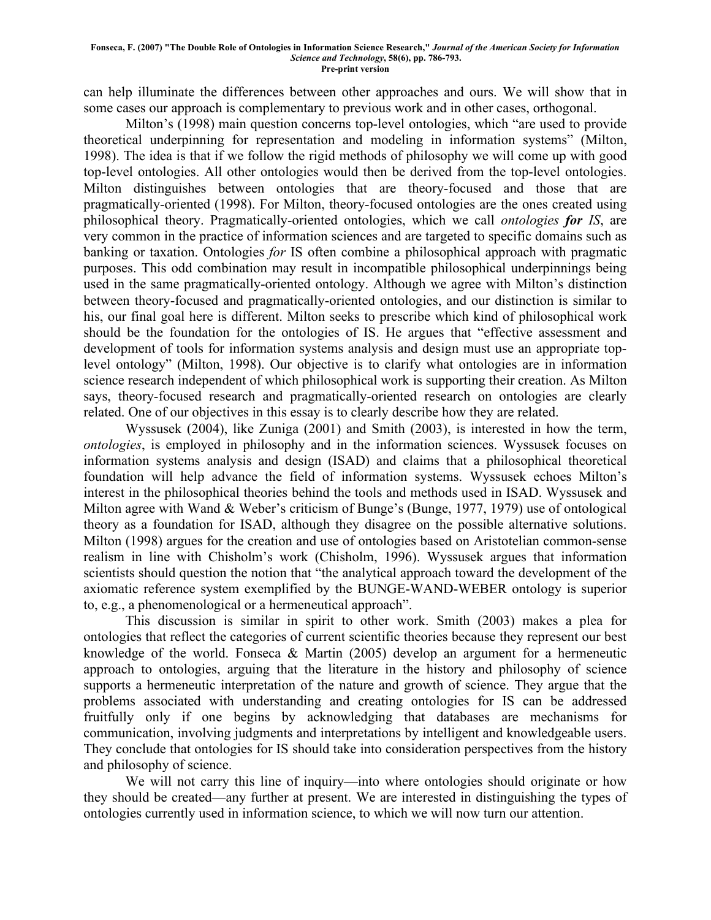can help illuminate the differences between other approaches and ours. We will show that in some cases our approach is complementary to previous work and in other cases, orthogonal.

Milton's (1998) main question concerns top-level ontologies, which "are used to provide theoretical underpinning for representation and modeling in information systems" (Milton, 1998). The idea is that if we follow the rigid methods of philosophy we will come up with good top-level ontologies. All other ontologies would then be derived from the top-level ontologies. Milton distinguishes between ontologies that are theory-focused and those that are pragmatically-oriented (1998). For Milton, theory-focused ontologies are the ones created using philosophical theory. Pragmatically-oriented ontologies, which we call *ontologies for IS*, are very common in the practice of information sciences and are targeted to specific domains such as banking or taxation. Ontologies *for* IS often combine a philosophical approach with pragmatic purposes. This odd combination may result in incompatible philosophical underpinnings being used in the same pragmatically-oriented ontology. Although we agree with Milton's distinction between theory-focused and pragmatically-oriented ontologies, and our distinction is similar to his, our final goal here is different. Milton seeks to prescribe which kind of philosophical work should be the foundation for the ontologies of IS. He argues that "effective assessment and development of tools for information systems analysis and design must use an appropriate toplevel ontology" (Milton, 1998). Our objective is to clarify what ontologies are in information science research independent of which philosophical work is supporting their creation. As Milton says, theory-focused research and pragmatically-oriented research on ontologies are clearly related. One of our objectives in this essay is to clearly describe how they are related.

Wyssusek (2004), like Zuniga (2001) and Smith (2003), is interested in how the term, *ontologies*, is employed in philosophy and in the information sciences. Wyssusek focuses on information systems analysis and design (ISAD) and claims that a philosophical theoretical foundation will help advance the field of information systems. Wyssusek echoes Milton's interest in the philosophical theories behind the tools and methods used in ISAD. Wyssusek and Milton agree with Wand & Weber's criticism of Bunge's (Bunge, 1977, 1979) use of ontological theory as a foundation for ISAD, although they disagree on the possible alternative solutions. Milton (1998) argues for the creation and use of ontologies based on Aristotelian common-sense realism in line with Chisholm's work (Chisholm, 1996). Wyssusek argues that information scientists should question the notion that "the analytical approach toward the development of the axiomatic reference system exemplified by the BUNGE-WAND-WEBER ontology is superior to, e.g., a phenomenological or a hermeneutical approach".

This discussion is similar in spirit to other work. Smith (2003) makes a plea for ontologies that reflect the categories of current scientific theories because they represent our best knowledge of the world. Fonseca & Martin (2005) develop an argument for a hermeneutic approach to ontologies, arguing that the literature in the history and philosophy of science supports a hermeneutic interpretation of the nature and growth of science. They argue that the problems associated with understanding and creating ontologies for IS can be addressed fruitfully only if one begins by acknowledging that databases are mechanisms for communication, involving judgments and interpretations by intelligent and knowledgeable users. They conclude that ontologies for IS should take into consideration perspectives from the history and philosophy of science.

We will not carry this line of inquiry—into where ontologies should originate or how they should be created—any further at present. We are interested in distinguishing the types of ontologies currently used in information science, to which we will now turn our attention.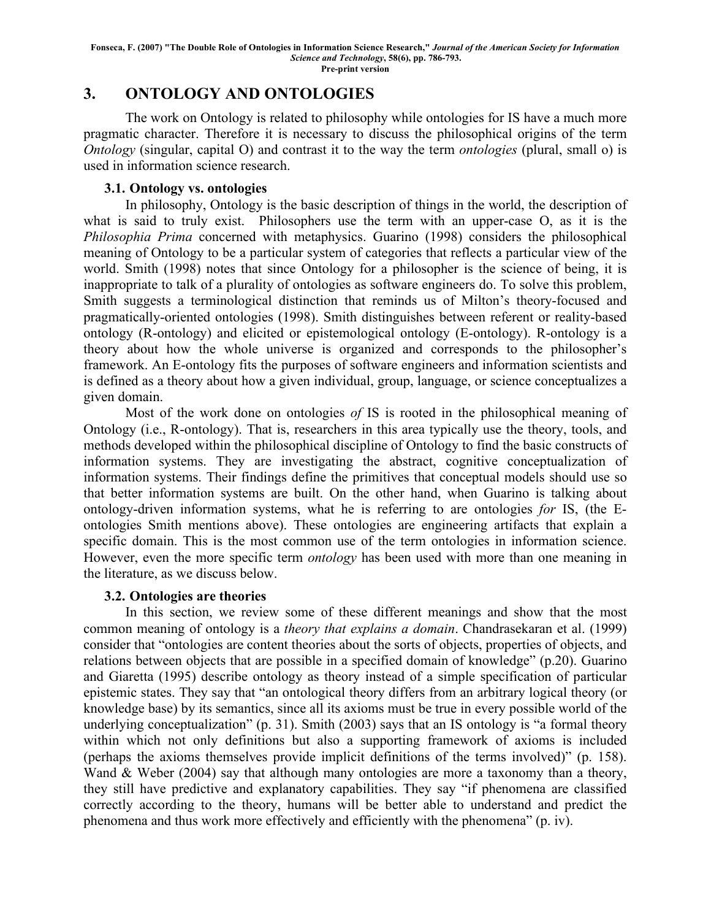# **3. ONTOLOGY AND ONTOLOGIES**

The work on Ontology is related to philosophy while ontologies for IS have a much more pragmatic character. Therefore it is necessary to discuss the philosophical origins of the term *Ontology* (singular, capital O) and contrast it to the way the term *ontologies* (plural, small o) is used in information science research.

### **3.1. Ontology vs. ontologies**

In philosophy, Ontology is the basic description of things in the world, the description of what is said to truly exist. Philosophers use the term with an upper-case O, as it is the *Philosophia Prima* concerned with metaphysics. Guarino (1998) considers the philosophical meaning of Ontology to be a particular system of categories that reflects a particular view of the world. Smith (1998) notes that since Ontology for a philosopher is the science of being, it is inappropriate to talk of a plurality of ontologies as software engineers do. To solve this problem, Smith suggests a terminological distinction that reminds us of Milton's theory-focused and pragmatically-oriented ontologies (1998). Smith distinguishes between referent or reality-based ontology (R-ontology) and elicited or epistemological ontology (E-ontology). R-ontology is a theory about how the whole universe is organized and corresponds to the philosopher's framework. An E-ontology fits the purposes of software engineers and information scientists and is defined as a theory about how a given individual, group, language, or science conceptualizes a given domain.

Most of the work done on ontologies *of* IS is rooted in the philosophical meaning of Ontology (i.e., R-ontology). That is, researchers in this area typically use the theory, tools, and methods developed within the philosophical discipline of Ontology to find the basic constructs of information systems. They are investigating the abstract, cognitive conceptualization of information systems. Their findings define the primitives that conceptual models should use so that better information systems are built. On the other hand, when Guarino is talking about ontology-driven information systems, what he is referring to are ontologies *for* IS, (the Eontologies Smith mentions above). These ontologies are engineering artifacts that explain a specific domain. This is the most common use of the term ontologies in information science. However, even the more specific term *ontology* has been used with more than one meaning in the literature, as we discuss below.

### **3.2. Ontologies are theories**

In this section, we review some of these different meanings and show that the most common meaning of ontology is a *theory that explains a domain*. Chandrasekaran et al. (1999) consider that "ontologies are content theories about the sorts of objects, properties of objects, and relations between objects that are possible in a specified domain of knowledge" (p.20). Guarino and Giaretta (1995) describe ontology as theory instead of a simple specification of particular epistemic states. They say that "an ontological theory differs from an arbitrary logical theory (or knowledge base) by its semantics, since all its axioms must be true in every possible world of the underlying conceptualization" (p. 31). Smith (2003) says that an IS ontology is "a formal theory within which not only definitions but also a supporting framework of axioms is included (perhaps the axioms themselves provide implicit definitions of the terms involved)" (p. 158). Wand & Weber (2004) say that although many ontologies are more a taxonomy than a theory, they still have predictive and explanatory capabilities. They say "if phenomena are classified correctly according to the theory, humans will be better able to understand and predict the phenomena and thus work more effectively and efficiently with the phenomena" (p. iv).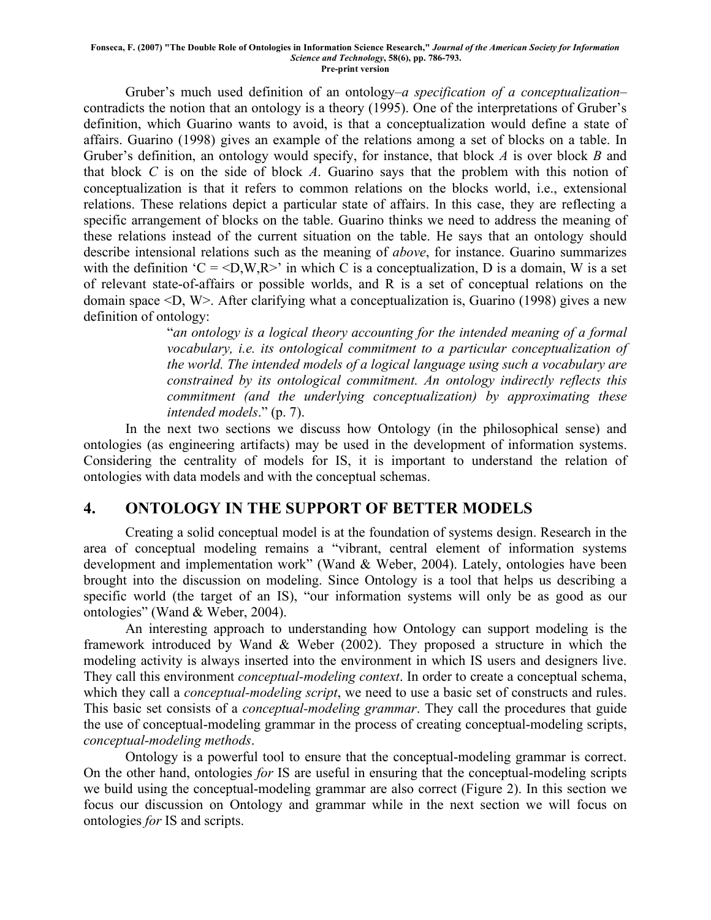Gruber's much used definition of an ontology–*a specification of a conceptualization*– contradicts the notion that an ontology is a theory (1995). One of the interpretations of Gruber's definition, which Guarino wants to avoid, is that a conceptualization would define a state of affairs. Guarino (1998) gives an example of the relations among a set of blocks on a table. In Gruber's definition, an ontology would specify, for instance, that block *A* is over block *B* and that block *C* is on the side of block *A*. Guarino says that the problem with this notion of conceptualization is that it refers to common relations on the blocks world, i.e., extensional relations. These relations depict a particular state of affairs. In this case, they are reflecting a specific arrangement of blocks on the table. Guarino thinks we need to address the meaning of these relations instead of the current situation on the table. He says that an ontology should describe intensional relations such as the meaning of *above*, for instance. Guarino summarizes with the definition 'C = <D,W,R>' in which C is a conceptualization, D is a domain, W is a set of relevant state-of-affairs or possible worlds, and R is a set of conceptual relations on the domain space <D, W>. After clarifying what a conceptualization is, Guarino (1998) gives a new definition of ontology:

"*an ontology is a logical theory accounting for the intended meaning of a formal vocabulary, i.e. its ontological commitment to a particular conceptualization of the world. The intended models of a logical language using such a vocabulary are constrained by its ontological commitment. An ontology indirectly reflects this commitment (and the underlying conceptualization) by approximating these intended models*." (p. 7).

In the next two sections we discuss how Ontology (in the philosophical sense) and ontologies (as engineering artifacts) may be used in the development of information systems. Considering the centrality of models for IS, it is important to understand the relation of ontologies with data models and with the conceptual schemas.

### **4. ONTOLOGY IN THE SUPPORT OF BETTER MODELS**

Creating a solid conceptual model is at the foundation of systems design. Research in the area of conceptual modeling remains a "vibrant, central element of information systems development and implementation work" (Wand & Weber, 2004). Lately, ontologies have been brought into the discussion on modeling. Since Ontology is a tool that helps us describing a specific world (the target of an IS), "our information systems will only be as good as our ontologies" (Wand & Weber, 2004).

An interesting approach to understanding how Ontology can support modeling is the framework introduced by Wand & Weber (2002). They proposed a structure in which the modeling activity is always inserted into the environment in which IS users and designers live. They call this environment *conceptual-modeling context*. In order to create a conceptual schema, which they call a *conceptual-modeling script*, we need to use a basic set of constructs and rules. This basic set consists of a *conceptual-modeling grammar*. They call the procedures that guide the use of conceptual-modeling grammar in the process of creating conceptual-modeling scripts, *conceptual-modeling methods*.

Ontology is a powerful tool to ensure that the conceptual-modeling grammar is correct. On the other hand, ontologies *for* IS are useful in ensuring that the conceptual-modeling scripts we build using the conceptual-modeling grammar are also correct (Figure 2). In this section we focus our discussion on Ontology and grammar while in the next section we will focus on ontologies *for* IS and scripts.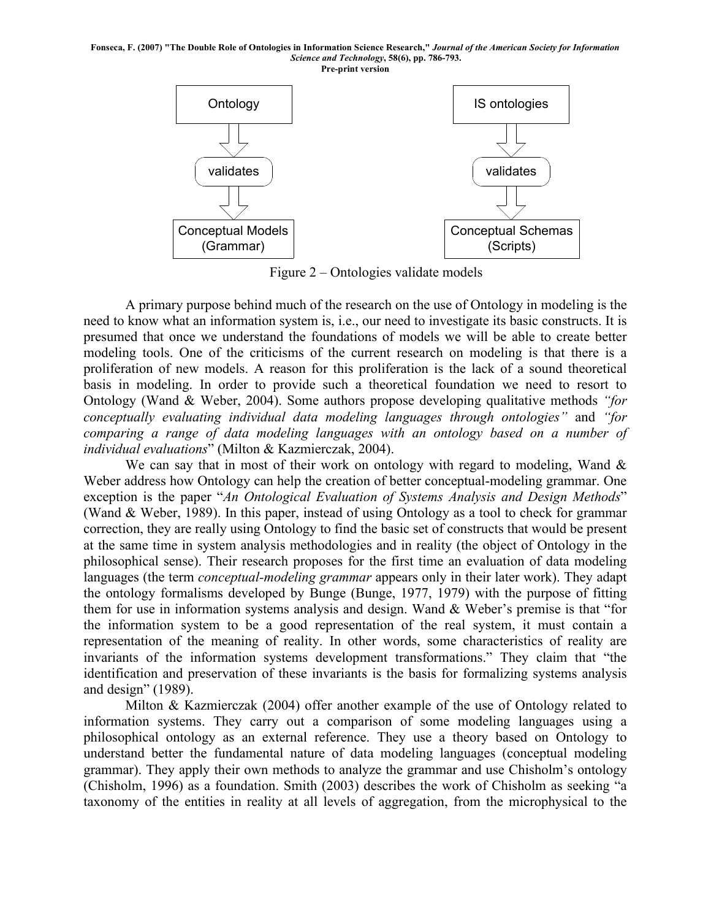

Figure 2 – Ontologies validate models

A primary purpose behind much of the research on the use of Ontology in modeling is the need to know what an information system is, i.e., our need to investigate its basic constructs. It is presumed that once we understand the foundations of models we will be able to create better modeling tools. One of the criticisms of the current research on modeling is that there is a proliferation of new models. A reason for this proliferation is the lack of a sound theoretical basis in modeling. In order to provide such a theoretical foundation we need to resort to Ontology (Wand & Weber, 2004). Some authors propose developing qualitative methods *"for conceptually evaluating individual data modeling languages through ontologies"* and *"for comparing a range of data modeling languages with an ontology based on a number of individual evaluations*" (Milton & Kazmierczak, 2004).

We can say that in most of their work on ontology with regard to modeling, Wand  $\&$ Weber address how Ontology can help the creation of better conceptual-modeling grammar. One exception is the paper "*An Ontological Evaluation of Systems Analysis and Design Methods*" (Wand & Weber, 1989). In this paper, instead of using Ontology as a tool to check for grammar correction, they are really using Ontology to find the basic set of constructs that would be present at the same time in system analysis methodologies and in reality (the object of Ontology in the philosophical sense). Their research proposes for the first time an evaluation of data modeling languages (the term *conceptual-modeling grammar* appears only in their later work). They adapt the ontology formalisms developed by Bunge (Bunge, 1977, 1979) with the purpose of fitting them for use in information systems analysis and design. Wand & Weber's premise is that "for the information system to be a good representation of the real system, it must contain a representation of the meaning of reality. In other words, some characteristics of reality are invariants of the information systems development transformations." They claim that "the identification and preservation of these invariants is the basis for formalizing systems analysis and design" (1989).

Milton & Kazmierczak (2004) offer another example of the use of Ontology related to information systems. They carry out a comparison of some modeling languages using a philosophical ontology as an external reference. They use a theory based on Ontology to understand better the fundamental nature of data modeling languages (conceptual modeling grammar). They apply their own methods to analyze the grammar and use Chisholm's ontology (Chisholm, 1996) as a foundation. Smith (2003) describes the work of Chisholm as seeking "a taxonomy of the entities in reality at all levels of aggregation, from the microphysical to the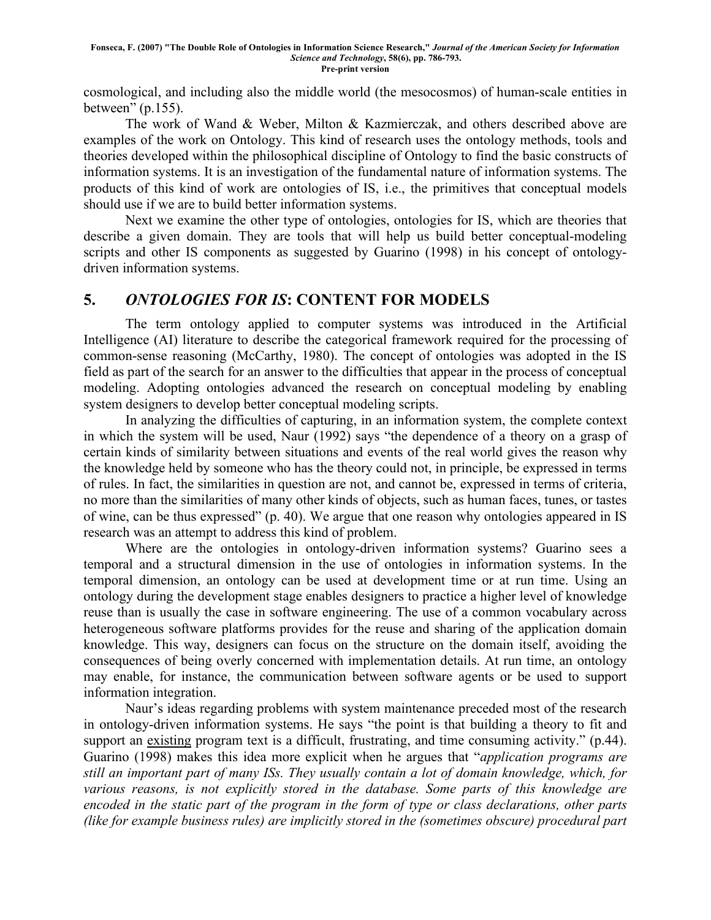cosmological, and including also the middle world (the mesocosmos) of human-scale entities in between" (p.155).

The work of Wand & Weber, Milton & Kazmierczak, and others described above are examples of the work on Ontology. This kind of research uses the ontology methods, tools and theories developed within the philosophical discipline of Ontology to find the basic constructs of information systems. It is an investigation of the fundamental nature of information systems. The products of this kind of work are ontologies of IS, i.e., the primitives that conceptual models should use if we are to build better information systems.

Next we examine the other type of ontologies, ontologies for IS, which are theories that describe a given domain. They are tools that will help us build better conceptual-modeling scripts and other IS components as suggested by Guarino (1998) in his concept of ontologydriven information systems.

# **5.** *ONTOLOGIES FOR IS***: CONTENT FOR MODELS**

The term ontology applied to computer systems was introduced in the Artificial Intelligence (AI) literature to describe the categorical framework required for the processing of common-sense reasoning (McCarthy, 1980). The concept of ontologies was adopted in the IS field as part of the search for an answer to the difficulties that appear in the process of conceptual modeling. Adopting ontologies advanced the research on conceptual modeling by enabling system designers to develop better conceptual modeling scripts.

In analyzing the difficulties of capturing, in an information system, the complete context in which the system will be used, Naur (1992) says "the dependence of a theory on a grasp of certain kinds of similarity between situations and events of the real world gives the reason why the knowledge held by someone who has the theory could not, in principle, be expressed in terms of rules. In fact, the similarities in question are not, and cannot be, expressed in terms of criteria, no more than the similarities of many other kinds of objects, such as human faces, tunes, or tastes of wine, can be thus expressed" (p. 40). We argue that one reason why ontologies appeared in IS research was an attempt to address this kind of problem.

Where are the ontologies in ontology-driven information systems? Guarino sees a temporal and a structural dimension in the use of ontologies in information systems. In the temporal dimension, an ontology can be used at development time or at run time. Using an ontology during the development stage enables designers to practice a higher level of knowledge reuse than is usually the case in software engineering. The use of a common vocabulary across heterogeneous software platforms provides for the reuse and sharing of the application domain knowledge. This way, designers can focus on the structure on the domain itself, avoiding the consequences of being overly concerned with implementation details. At run time, an ontology may enable, for instance, the communication between software agents or be used to support information integration.

Naur's ideas regarding problems with system maintenance preceded most of the research in ontology-driven information systems. He says "the point is that building a theory to fit and support an existing program text is a difficult, frustrating, and time consuming activity." (p.44). Guarino (1998) makes this idea more explicit when he argues that "*application programs are still an important part of many ISs. They usually contain a lot of domain knowledge, which, for various reasons, is not explicitly stored in the database. Some parts of this knowledge are encoded in the static part of the program in the form of type or class declarations, other parts (like for example business rules) are implicitly stored in the (sometimes obscure) procedural part*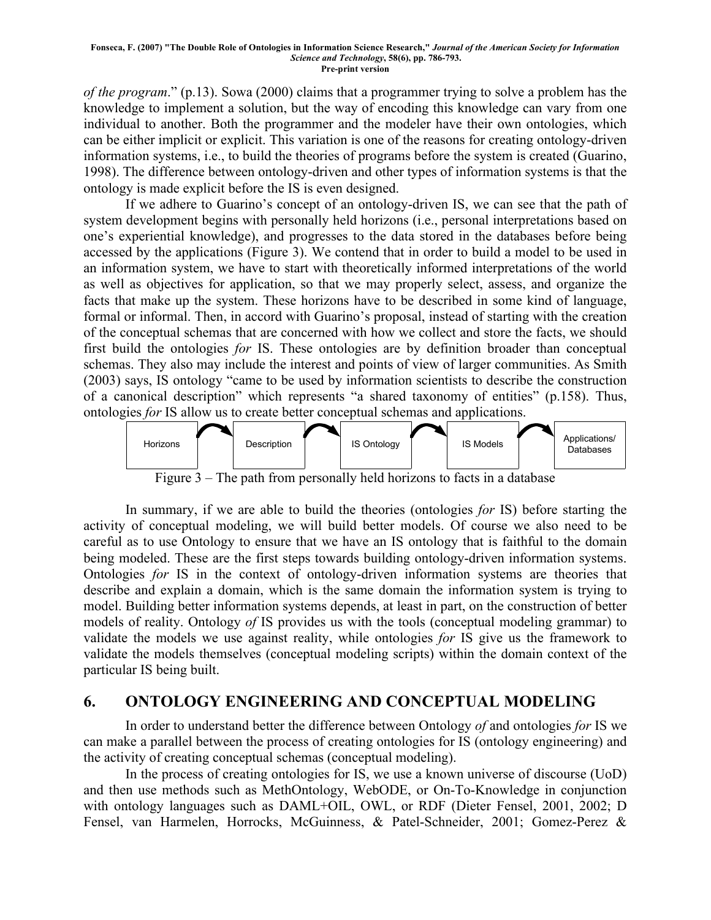*of the program*." (p.13). Sowa (2000) claims that a programmer trying to solve a problem has the knowledge to implement a solution, but the way of encoding this knowledge can vary from one individual to another. Both the programmer and the modeler have their own ontologies, which can be either implicit or explicit. This variation is one of the reasons for creating ontology-driven information systems, i.e., to build the theories of programs before the system is created (Guarino, 1998). The difference between ontology-driven and other types of information systems is that the ontology is made explicit before the IS is even designed.

If we adhere to Guarino's concept of an ontology-driven IS, we can see that the path of system development begins with personally held horizons (i.e., personal interpretations based on one's experiential knowledge), and progresses to the data stored in the databases before being accessed by the applications (Figure 3). We contend that in order to build a model to be used in an information system, we have to start with theoretically informed interpretations of the world as well as objectives for application, so that we may properly select, assess, and organize the facts that make up the system. These horizons have to be described in some kind of language, formal or informal. Then, in accord with Guarino's proposal, instead of starting with the creation of the conceptual schemas that are concerned with how we collect and store the facts, we should first build the ontologies *for* IS. These ontologies are by definition broader than conceptual schemas. They also may include the interest and points of view of larger communities. As Smith (2003) says, IS ontology "came to be used by information scientists to describe the construction of a canonical description" which represents "a shared taxonomy of entities" (p.158). Thus, ontologies *for* IS allow us to create better conceptual schemas and applications.



Figure 3 – The path from personally held horizons to facts in a database

In summary, if we are able to build the theories (ontologies *for* IS) before starting the activity of conceptual modeling, we will build better models. Of course we also need to be careful as to use Ontology to ensure that we have an IS ontology that is faithful to the domain being modeled. These are the first steps towards building ontology-driven information systems. Ontologies *for* IS in the context of ontology-driven information systems are theories that describe and explain a domain, which is the same domain the information system is trying to model. Building better information systems depends, at least in part, on the construction of better models of reality. Ontology *of* IS provides us with the tools (conceptual modeling grammar) to validate the models we use against reality, while ontologies *for* IS give us the framework to validate the models themselves (conceptual modeling scripts) within the domain context of the particular IS being built.

# **6. ONTOLOGY ENGINEERING AND CONCEPTUAL MODELING**

In order to understand better the difference between Ontology *of* and ontologies *for* IS we can make a parallel between the process of creating ontologies for IS (ontology engineering) and the activity of creating conceptual schemas (conceptual modeling).

In the process of creating ontologies for IS, we use a known universe of discourse (UoD) and then use methods such as MethOntology, WebODE, or On-To-Knowledge in conjunction with ontology languages such as DAML+OIL, OWL, or RDF (Dieter Fensel, 2001, 2002; D Fensel, van Harmelen, Horrocks, McGuinness, & Patel-Schneider, 2001; Gomez-Perez &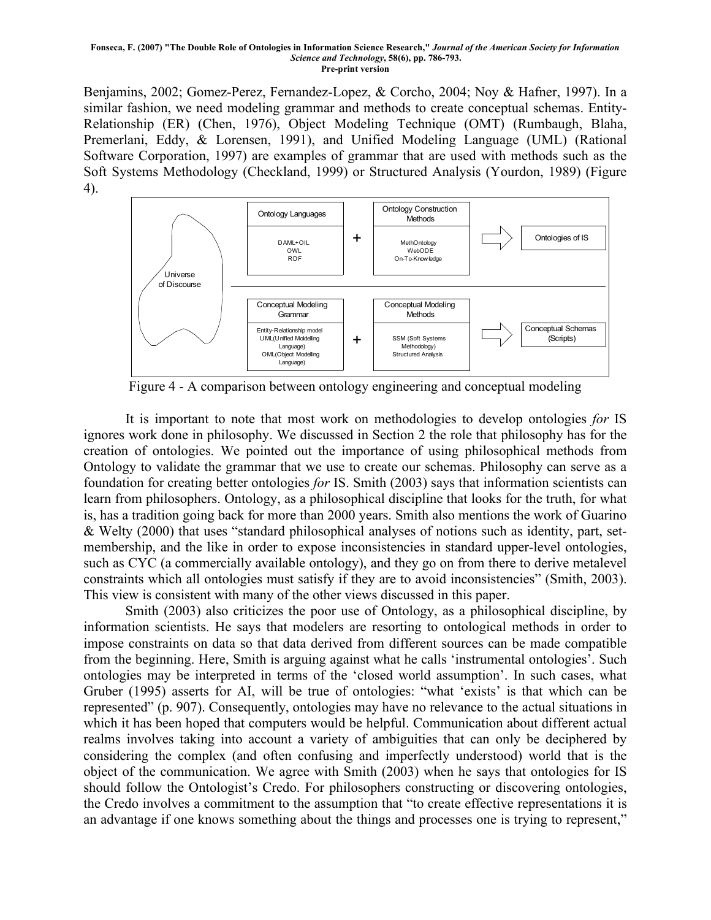Benjamins, 2002; Gomez-Perez, Fernandez-Lopez, & Corcho, 2004; Noy & Hafner, 1997). In a similar fashion, we need modeling grammar and methods to create conceptual schemas. Entity-Relationship (ER) (Chen, 1976), Object Modeling Technique (OMT) (Rumbaugh, Blaha, Premerlani, Eddy, & Lorensen, 1991), and Unified Modeling Language (UML) (Rational Software Corporation, 1997) are examples of grammar that are used with methods such as the Soft Systems Methodology (Checkland, 1999) or Structured Analysis (Yourdon, 1989) (Figure 4).



Figure 4 - A comparison between ontology engineering and conceptual modeling

It is important to note that most work on methodologies to develop ontologies *for* IS ignores work done in philosophy. We discussed in Section 2 the role that philosophy has for the creation of ontologies. We pointed out the importance of using philosophical methods from Ontology to validate the grammar that we use to create our schemas. Philosophy can serve as a foundation for creating better ontologies *for* IS. Smith (2003) says that information scientists can learn from philosophers. Ontology, as a philosophical discipline that looks for the truth, for what is, has a tradition going back for more than 2000 years. Smith also mentions the work of Guarino & Welty (2000) that uses "standard philosophical analyses of notions such as identity, part, setmembership, and the like in order to expose inconsistencies in standard upper-level ontologies, such as CYC (a commercially available ontology), and they go on from there to derive metalevel constraints which all ontologies must satisfy if they are to avoid inconsistencies" (Smith, 2003). This view is consistent with many of the other views discussed in this paper.

Smith (2003) also criticizes the poor use of Ontology, as a philosophical discipline, by information scientists. He says that modelers are resorting to ontological methods in order to impose constraints on data so that data derived from different sources can be made compatible from the beginning. Here, Smith is arguing against what he calls 'instrumental ontologies'. Such ontologies may be interpreted in terms of the 'closed world assumption'. In such cases, what Gruber (1995) asserts for AI, will be true of ontologies: "what 'exists' is that which can be represented" (p. 907). Consequently, ontologies may have no relevance to the actual situations in which it has been hoped that computers would be helpful. Communication about different actual realms involves taking into account a variety of ambiguities that can only be deciphered by considering the complex (and often confusing and imperfectly understood) world that is the object of the communication. We agree with Smith (2003) when he says that ontologies for IS should follow the Ontologist's Credo. For philosophers constructing or discovering ontologies, the Credo involves a commitment to the assumption that "to create effective representations it is an advantage if one knows something about the things and processes one is trying to represent,"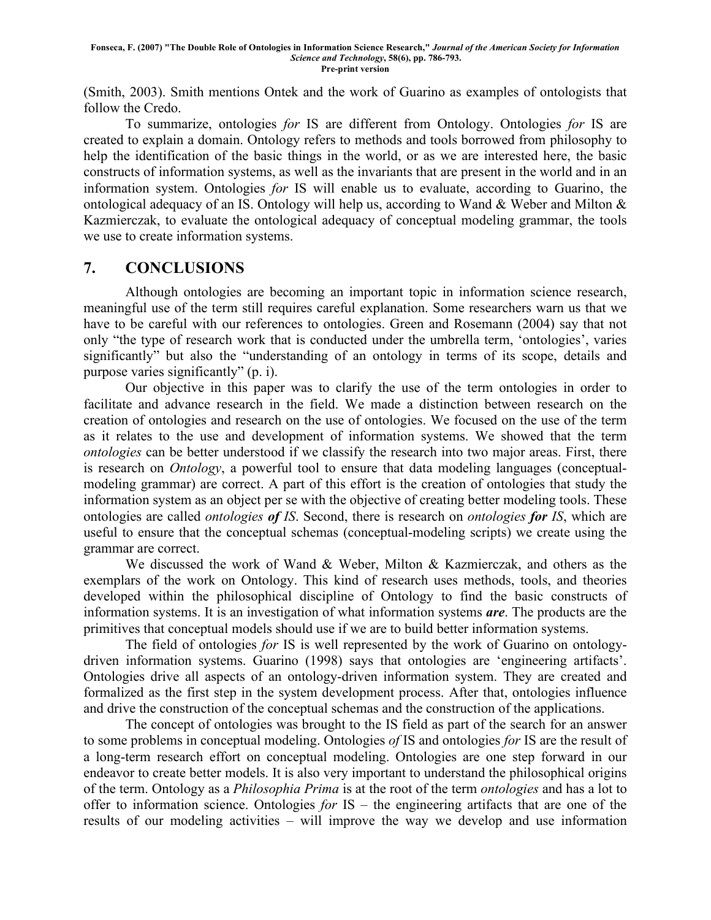(Smith, 2003). Smith mentions Ontek and the work of Guarino as examples of ontologists that follow the Credo.

To summarize, ontologies *for* IS are different from Ontology. Ontologies *for* IS are created to explain a domain. Ontology refers to methods and tools borrowed from philosophy to help the identification of the basic things in the world, or as we are interested here, the basic constructs of information systems, as well as the invariants that are present in the world and in an information system. Ontologies *for* IS will enable us to evaluate, according to Guarino, the ontological adequacy of an IS. Ontology will help us, according to Wand & Weber and Milton & Kazmierczak, to evaluate the ontological adequacy of conceptual modeling grammar, the tools we use to create information systems.

### **7. CONCLUSIONS**

Although ontologies are becoming an important topic in information science research, meaningful use of the term still requires careful explanation. Some researchers warn us that we have to be careful with our references to ontologies. Green and Rosemann (2004) say that not only "the type of research work that is conducted under the umbrella term, 'ontologies', varies significantly" but also the "understanding of an ontology in terms of its scope, details and purpose varies significantly" (p. i).

Our objective in this paper was to clarify the use of the term ontologies in order to facilitate and advance research in the field. We made a distinction between research on the creation of ontologies and research on the use of ontologies. We focused on the use of the term as it relates to the use and development of information systems. We showed that the term *ontologies* can be better understood if we classify the research into two major areas. First, there is research on *Ontology*, a powerful tool to ensure that data modeling languages (conceptualmodeling grammar) are correct. A part of this effort is the creation of ontologies that study the information system as an object per se with the objective of creating better modeling tools. These ontologies are called *ontologies of IS*. Second, there is research on *ontologies for IS*, which are useful to ensure that the conceptual schemas (conceptual-modeling scripts) we create using the grammar are correct.

We discussed the work of Wand & Weber, Milton & Kazmierczak, and others as the exemplars of the work on Ontology. This kind of research uses methods, tools, and theories developed within the philosophical discipline of Ontology to find the basic constructs of information systems. It is an investigation of what information systems *are*. The products are the primitives that conceptual models should use if we are to build better information systems.

The field of ontologies *for* IS is well represented by the work of Guarino on ontologydriven information systems. Guarino (1998) says that ontologies are 'engineering artifacts'. Ontologies drive all aspects of an ontology-driven information system. They are created and formalized as the first step in the system development process. After that, ontologies influence and drive the construction of the conceptual schemas and the construction of the applications.

The concept of ontologies was brought to the IS field as part of the search for an answer to some problems in conceptual modeling. Ontologies *of* IS and ontologies *for* IS are the result of a long-term research effort on conceptual modeling. Ontologies are one step forward in our endeavor to create better models. It is also very important to understand the philosophical origins of the term. Ontology as a *Philosophia Prima* is at the root of the term *ontologies* and has a lot to offer to information science. Ontologies *for* IS – the engineering artifacts that are one of the results of our modeling activities – will improve the way we develop and use information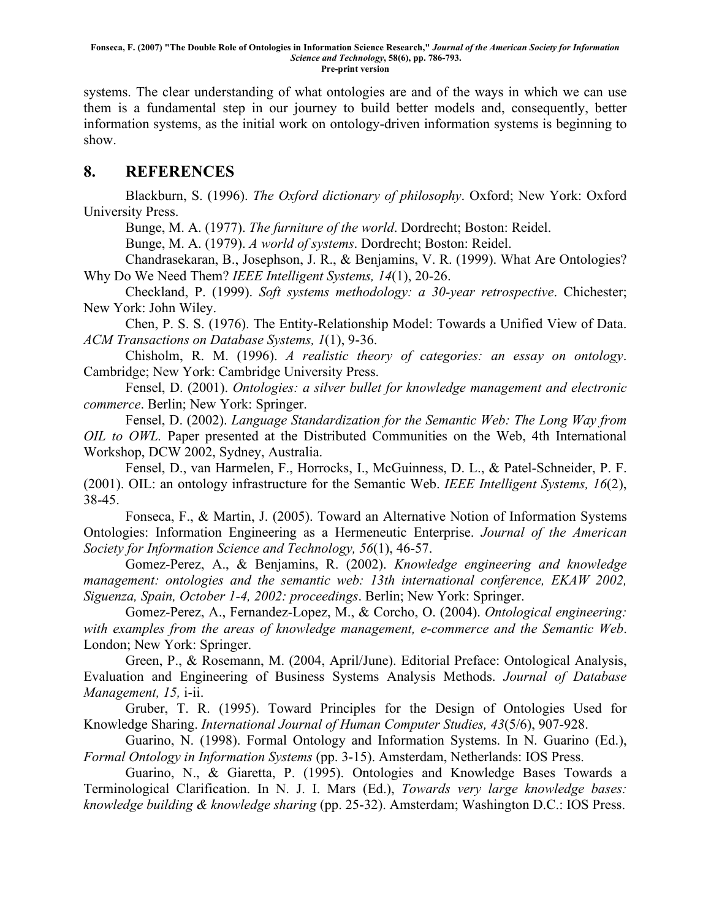systems. The clear understanding of what ontologies are and of the ways in which we can use them is a fundamental step in our journey to build better models and, consequently, better information systems, as the initial work on ontology-driven information systems is beginning to show.

### **8. REFERENCES**

Blackburn, S. (1996). *The Oxford dictionary of philosophy*. Oxford; New York: Oxford University Press.

Bunge, M. A. (1977). *The furniture of the world*. Dordrecht; Boston: Reidel.

Bunge, M. A. (1979). *A world of systems*. Dordrecht; Boston: Reidel.

Chandrasekaran, B., Josephson, J. R., & Benjamins, V. R. (1999). What Are Ontologies? Why Do We Need Them? *IEEE Intelligent Systems, 14*(1), 20-26.

Checkland, P. (1999). *Soft systems methodology: a 30-year retrospective*. Chichester; New York: John Wiley.

Chen, P. S. S. (1976). The Entity-Relationship Model: Towards a Unified View of Data. *ACM Transactions on Database Systems, 1*(1), 9-36.

Chisholm, R. M. (1996). *A realistic theory of categories: an essay on ontology*. Cambridge; New York: Cambridge University Press.

Fensel, D. (2001). *Ontologies: a silver bullet for knowledge management and electronic commerce*. Berlin; New York: Springer.

Fensel, D. (2002). *Language Standardization for the Semantic Web: The Long Way from OIL to OWL.* Paper presented at the Distributed Communities on the Web, 4th International Workshop, DCW 2002, Sydney, Australia.

Fensel, D., van Harmelen, F., Horrocks, I., McGuinness, D. L., & Patel-Schneider, P. F. (2001). OIL: an ontology infrastructure for the Semantic Web. *IEEE Intelligent Systems, 16*(2), 38-45.

Fonseca, F., & Martin, J. (2005). Toward an Alternative Notion of Information Systems Ontologies: Information Engineering as a Hermeneutic Enterprise. *Journal of the American Society for Information Science and Technology, 56*(1), 46-57.

Gomez-Perez, A., & Benjamins, R. (2002). *Knowledge engineering and knowledge management: ontologies and the semantic web: 13th international conference, EKAW 2002, Siguenza, Spain, October 1-4, 2002: proceedings*. Berlin; New York: Springer.

Gomez-Perez, A., Fernandez-Lopez, M., & Corcho, O. (2004). *Ontological engineering: with examples from the areas of knowledge management, e-commerce and the Semantic Web*. London; New York: Springer.

Green, P., & Rosemann, M. (2004, April/June). Editorial Preface: Ontological Analysis, Evaluation and Engineering of Business Systems Analysis Methods. *Journal of Database Management, 15,* i-ii.

Gruber, T. R. (1995). Toward Principles for the Design of Ontologies Used for Knowledge Sharing. *International Journal of Human Computer Studies, 43*(5/6), 907-928.

Guarino, N. (1998). Formal Ontology and Information Systems. In N. Guarino (Ed.), *Formal Ontology in Information Systems* (pp. 3-15). Amsterdam, Netherlands: IOS Press.

Guarino, N., & Giaretta, P. (1995). Ontologies and Knowledge Bases Towards a Terminological Clarification. In N. J. I. Mars (Ed.), *Towards very large knowledge bases: knowledge building & knowledge sharing* (pp. 25-32). Amsterdam; Washington D.C.: IOS Press.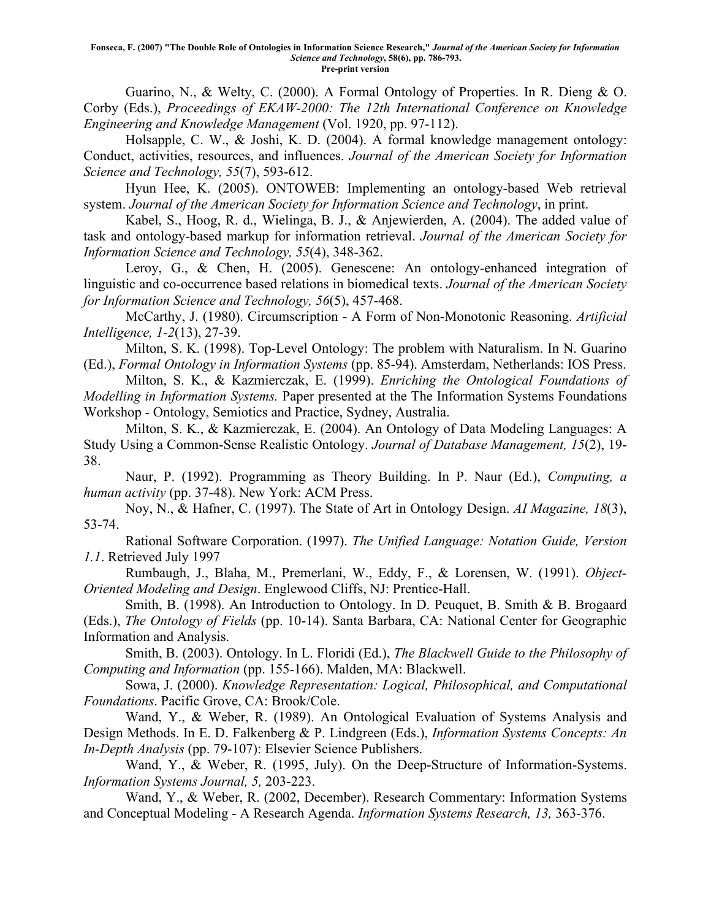Guarino, N., & Welty, C. (2000). A Formal Ontology of Properties. In R. Dieng & O. Corby (Eds.), *Proceedings of EKAW-2000: The 12th International Conference on Knowledge Engineering and Knowledge Management* (Vol. 1920, pp. 97-112).

Holsapple, C. W., & Joshi, K. D. (2004). A formal knowledge management ontology: Conduct, activities, resources, and influences. *Journal of the American Society for Information Science and Technology, 55*(7), 593-612.

Hyun Hee, K. (2005). ONTOWEB: Implementing an ontology-based Web retrieval system. *Journal of the American Society for Information Science and Technology*, in print.

Kabel, S., Hoog, R. d., Wielinga, B. J., & Anjewierden, A. (2004). The added value of task and ontology-based markup for information retrieval. *Journal of the American Society for Information Science and Technology, 55*(4), 348-362.

Leroy, G., & Chen, H. (2005). Genescene: An ontology-enhanced integration of linguistic and co-occurrence based relations in biomedical texts. *Journal of the American Society for Information Science and Technology, 56*(5), 457-468.

McCarthy, J. (1980). Circumscription - A Form of Non-Monotonic Reasoning. *Artificial Intelligence, 1-2*(13), 27-39.

Milton, S. K. (1998). Top-Level Ontology: The problem with Naturalism. In N. Guarino (Ed.), *Formal Ontology in Information Systems* (pp. 85-94). Amsterdam, Netherlands: IOS Press.

Milton, S. K., & Kazmierczak, E. (1999). *Enriching the Ontological Foundations of Modelling in Information Systems.* Paper presented at the The Information Systems Foundations Workshop - Ontology, Semiotics and Practice, Sydney, Australia.

Milton, S. K., & Kazmierczak, E. (2004). An Ontology of Data Modeling Languages: A Study Using a Common-Sense Realistic Ontology. *Journal of Database Management, 15*(2), 19- 38.

Naur, P. (1992). Programming as Theory Building. In P. Naur (Ed.), *Computing, a human activity* (pp. 37-48). New York: ACM Press.

Noy, N., & Hafner, C. (1997). The State of Art in Ontology Design. *AI Magazine, 18*(3), 53-74.

Rational Software Corporation. (1997). *The Unified Language: Notation Guide, Version 1.1*. Retrieved July 1997

Rumbaugh, J., Blaha, M., Premerlani, W., Eddy, F., & Lorensen, W. (1991). *Object-Oriented Modeling and Design*. Englewood Cliffs, NJ: Prentice-Hall.

Smith, B. (1998). An Introduction to Ontology. In D. Peuquet, B. Smith & B. Brogaard (Eds.), *The Ontology of Fields* (pp. 10-14). Santa Barbara, CA: National Center for Geographic Information and Analysis.

Smith, B. (2003). Ontology. In L. Floridi (Ed.), *The Blackwell Guide to the Philosophy of Computing and Information* (pp. 155-166). Malden, MA: Blackwell.

Sowa, J. (2000). *Knowledge Representation: Logical, Philosophical, and Computational Foundations*. Pacific Grove, CA: Brook/Cole.

Wand, Y., & Weber, R. (1989). An Ontological Evaluation of Systems Analysis and Design Methods. In E. D. Falkenberg & P. Lindgreen (Eds.), *Information Systems Concepts: An In-Depth Analysis* (pp. 79-107): Elsevier Science Publishers.

Wand, Y., & Weber, R. (1995, July). On the Deep-Structure of Information-Systems. *Information Systems Journal, 5,* 203-223.

Wand, Y., & Weber, R. (2002, December). Research Commentary: Information Systems and Conceptual Modeling - A Research Agenda. *Information Systems Research, 13,* 363-376.